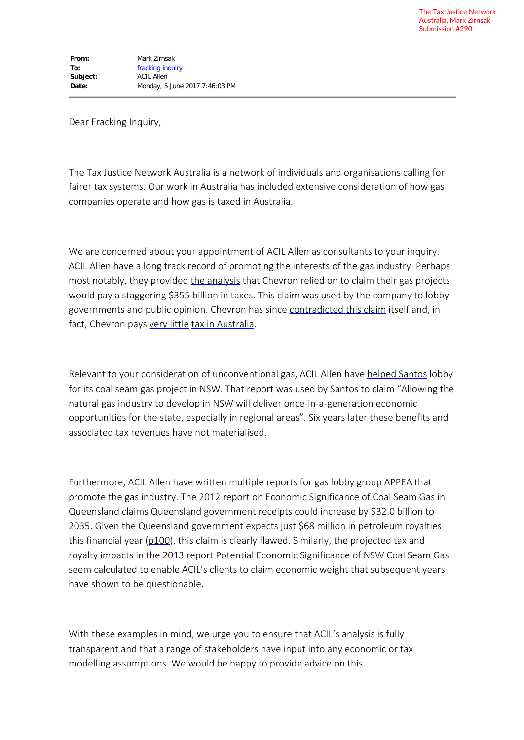Dear Fracking Inquiry,

The Tax Justice Network Australia is a network of individuals and organisations calling for fairer tax systems. Our work in Australia has included extensive consideration of how gas companies operate and how gas is taxed in Australia.

We are concerned about your appointment of ACIL Allen as consultants to your inquiry. ACIL Allen have a long track record of promoting the interests of the gas industry. Perhaps most notably, they provided the analysis that Chevron relied on to claim their gas projects would pay a staggering \$355 billion in taxes. This claim was used by the company to lobby governments and public opinion. Chevron has since contradicted this claim itself and, in fact, Chevron pays very little tax in Australia.

Relevant to your consideration of unconventional gas, ACIL Allen have helped Santos lobby for its coal seam gas project in NSW. That report was used by Santos to claim "Allowing the natural gas industry to develop in NSW will deliver once-in-a-generation economic opportunities for the state, especially in regional areas". Six years later these benefits and associated tax revenues have not materialised.

Furthermore, ACIL Allen have written multiple reports for gas lobby group APPEA that promote the gas industry. The 2012 report on Economic Significance of Coal Seam Gas in Queensland claims Queensland government receipts could increase by \$32.0 billion to 2035. Given the Queensland government expects just \$68 million in petroleum royalties this financial year (p100), this claim is clearly flawed. Similarly, the projected tax and royalty impacts in the 2013 report Potential Economic Significance of NSW Coal Seam Gas seem calculated to enable ACIL's clients to claim economic weight that subsequent years have shown to be questionable.

With these examples in mind, we urge you to ensure that ACIL's analysis is fully transparent and that a range of stakeholders have input into any economic or tax modelling assumptions. We would be happy to provide advice on this.